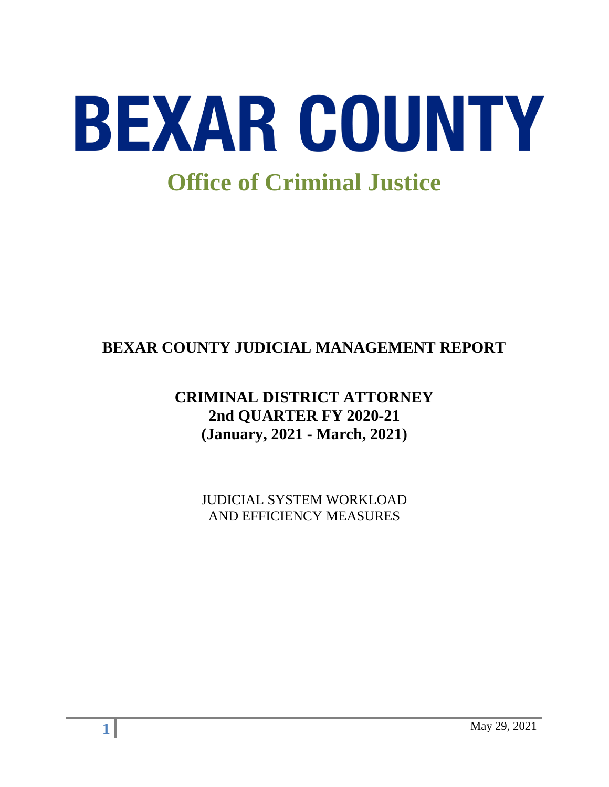

# **BEXAR COUNTY JUDICIAL MANAGEMENT REPORT**

## **CRIMINAL DISTRICT ATTORNEY 2nd QUARTER FY 2020-21 (January, 2021 - March, 2021)**

JUDICIAL SYSTEM WORKLOAD AND EFFICIENCY MEASURES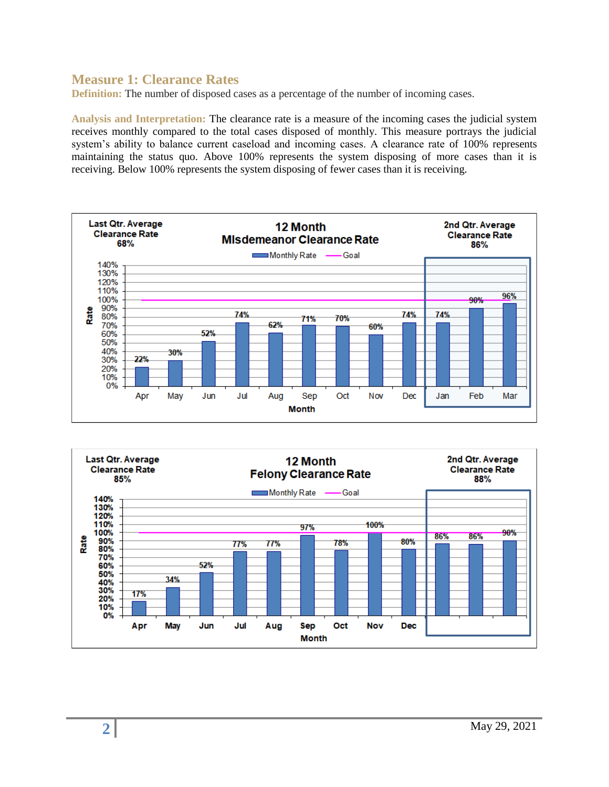#### **Measure 1: Clearance Rates**

**Definition:** The number of disposed cases as a percentage of the number of incoming cases.

**Analysis and Interpretation:** The clearance rate is a measure of the incoming cases the judicial system receives monthly compared to the total cases disposed of monthly. This measure portrays the judicial system's ability to balance current caseload and incoming cases. A clearance rate of 100% represents maintaining the status quo. Above 100% represents the system disposing of more cases than it is receiving. Below 100% represents the system disposing of fewer cases than it is receiving.



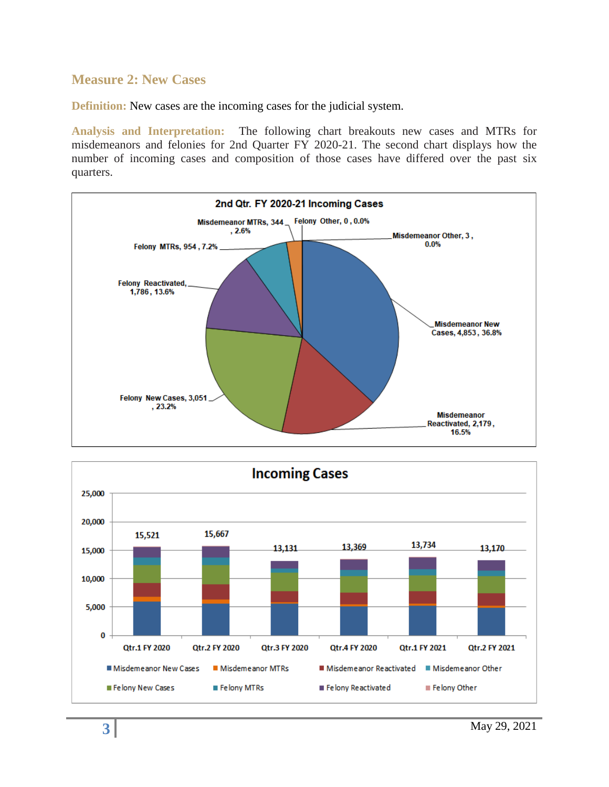#### **Measure 2: New Cases**

**Definition:** New cases are the incoming cases for the judicial system.

**Analysis and Interpretation:** The following chart breakouts new cases and MTRs for misdemeanors and felonies for 2nd Quarter FY 2020-21. The second chart displays how the number of incoming cases and composition of those cases have differed over the past six quarters.



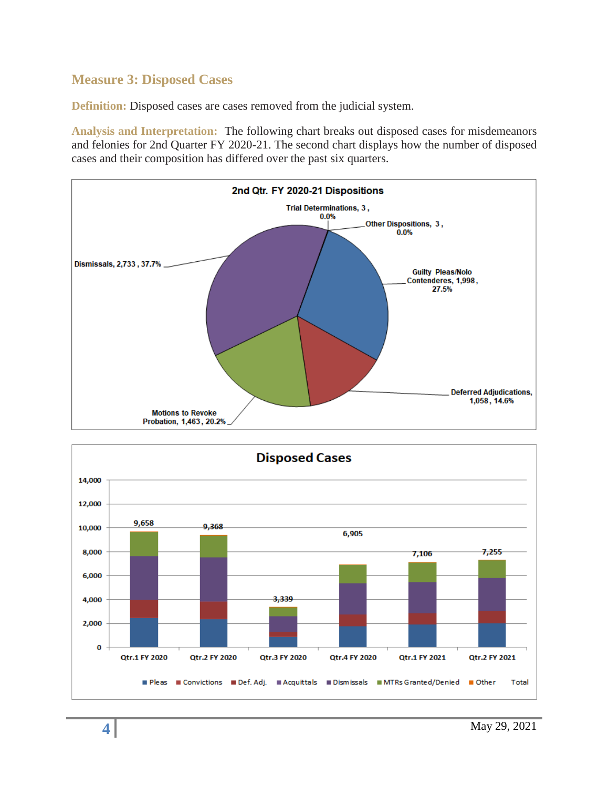## **Measure 3: Disposed Cases**

**Definition:** Disposed cases are cases removed from the judicial system.

**Analysis and Interpretation:** The following chart breaks out disposed cases for misdemeanors and felonies for 2nd Quarter FY 2020-21. The second chart displays how the number of disposed cases and their composition has differed over the past six quarters.



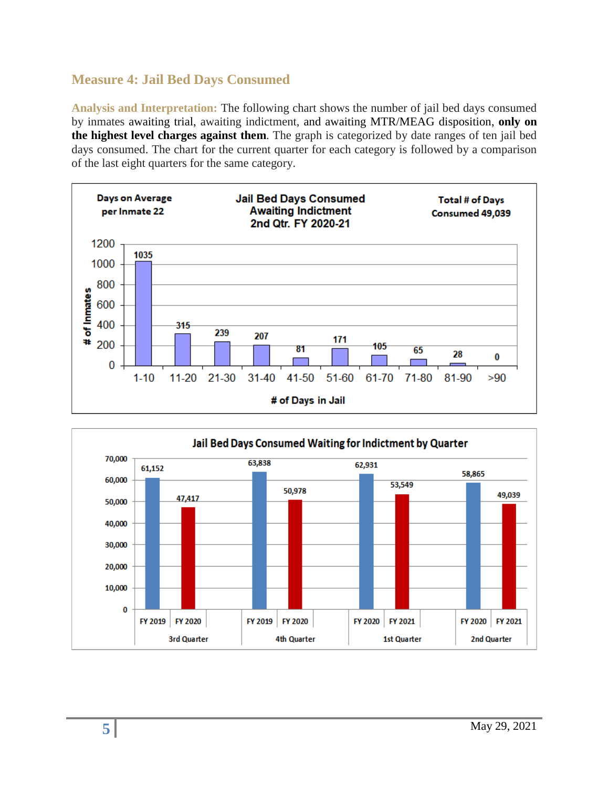## **Measure 4: Jail Bed Days Consumed**

**Analysis and Interpretation:** The following chart shows the number of jail bed days consumed by inmates awaiting trial, awaiting indictment, and awaiting MTR/MEAG disposition, **only on the highest level charges against them**. The graph is categorized by date ranges of ten jail bed days consumed. The chart for the current quarter for each category is followed by a comparison of the last eight quarters for the same category.



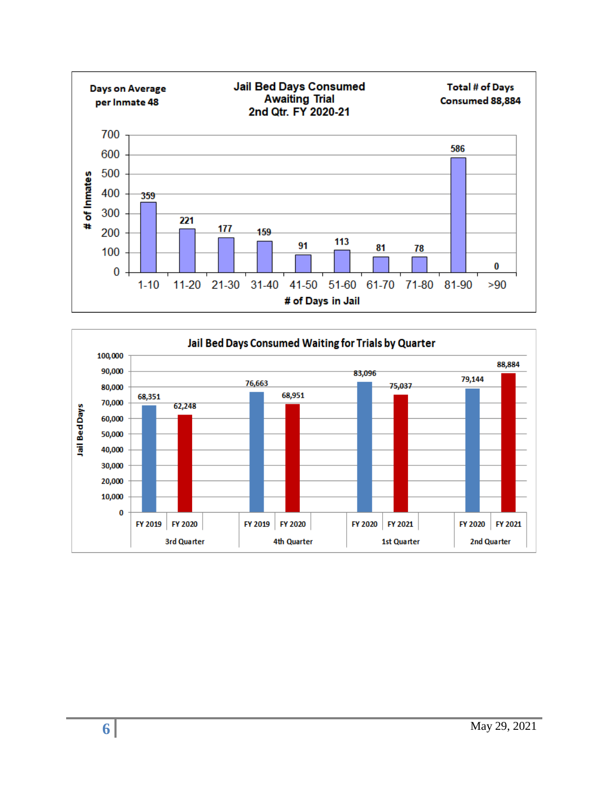

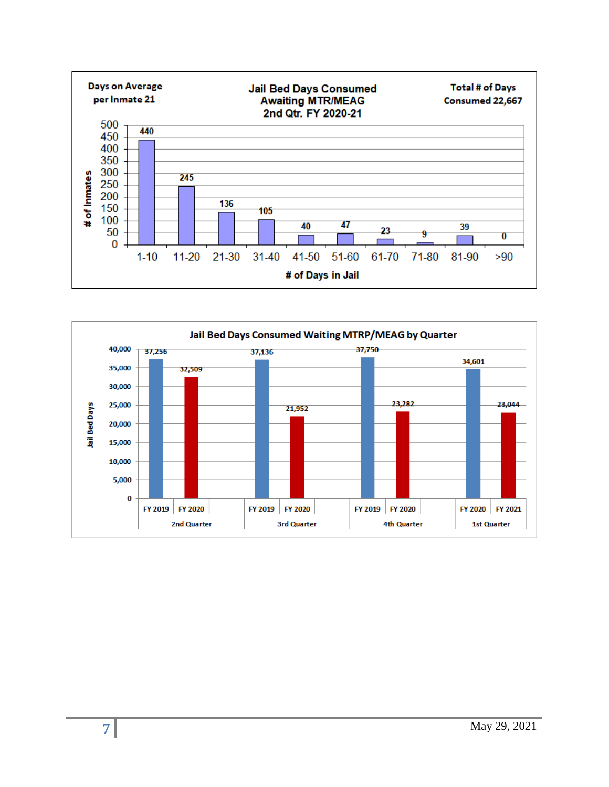

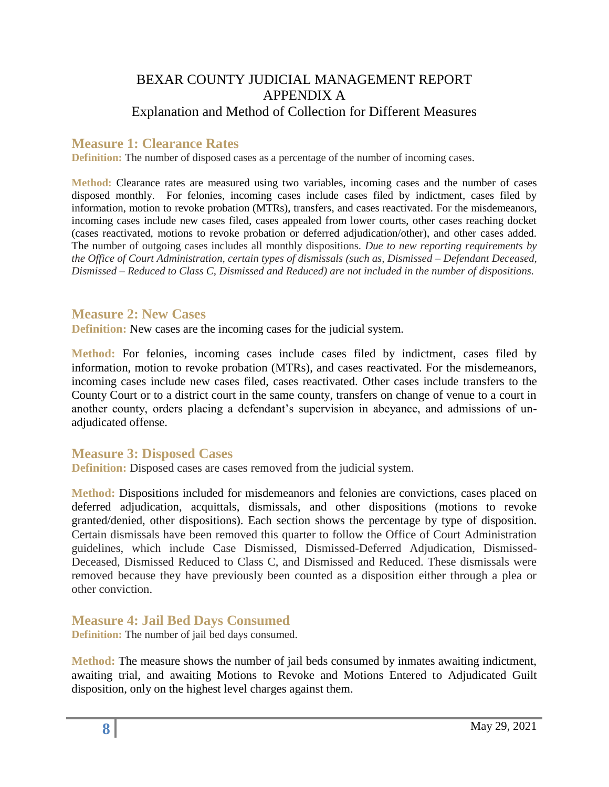## BEXAR COUNTY JUDICIAL MANAGEMENT REPORT APPENDIX A Explanation and Method of Collection for Different Measures

#### **Measure 1: Clearance Rates**

**Definition:** The number of disposed cases as a percentage of the number of incoming cases.

**Method:** Clearance rates are measured using two variables, incoming cases and the number of cases disposed monthly. For felonies, incoming cases include cases filed by indictment, cases filed by information, motion to revoke probation (MTRs), transfers, and cases reactivated. For the misdemeanors, incoming cases include new cases filed, cases appealed from lower courts, other cases reaching docket (cases reactivated, motions to revoke probation or deferred adjudication/other), and other cases added. The number of outgoing cases includes all monthly dispositions. *Due to new reporting requirements by the Office of Court Administration, certain types of dismissals (such as, Dismissed – Defendant Deceased, Dismissed – Reduced to Class C, Dismissed and Reduced) are not included in the number of dispositions.*

#### **Measure 2: New Cases**

**Definition:** New cases are the incoming cases for the judicial system.

**Method:** For felonies, incoming cases include cases filed by indictment, cases filed by information, motion to revoke probation (MTRs), and cases reactivated. For the misdemeanors, incoming cases include new cases filed, cases reactivated. Other cases include transfers to the County Court or to a district court in the same county, transfers on change of venue to a court in another county, orders placing a defendant's supervision in abeyance, and admissions of unadjudicated offense.

#### **Measure 3: Disposed Cases**

**Definition:** Disposed cases are cases removed from the judicial system.

**Method:** Dispositions included for misdemeanors and felonies are convictions, cases placed on deferred adjudication, acquittals, dismissals, and other dispositions (motions to revoke granted/denied, other dispositions). Each section shows the percentage by type of disposition. Certain dismissals have been removed this quarter to follow the Office of Court Administration guidelines, which include Case Dismissed, Dismissed-Deferred Adjudication, Dismissed-Deceased, Dismissed Reduced to Class C, and Dismissed and Reduced. These dismissals were removed because they have previously been counted as a disposition either through a plea or other conviction.

**Measure 4: Jail Bed Days Consumed** 

**Definition:** The number of jail bed days consumed.

**Method:** The measure shows the number of jail beds consumed by inmates awaiting indictment, awaiting trial, and awaiting Motions to Revoke and Motions Entered to Adjudicated Guilt disposition, only on the highest level charges against them.